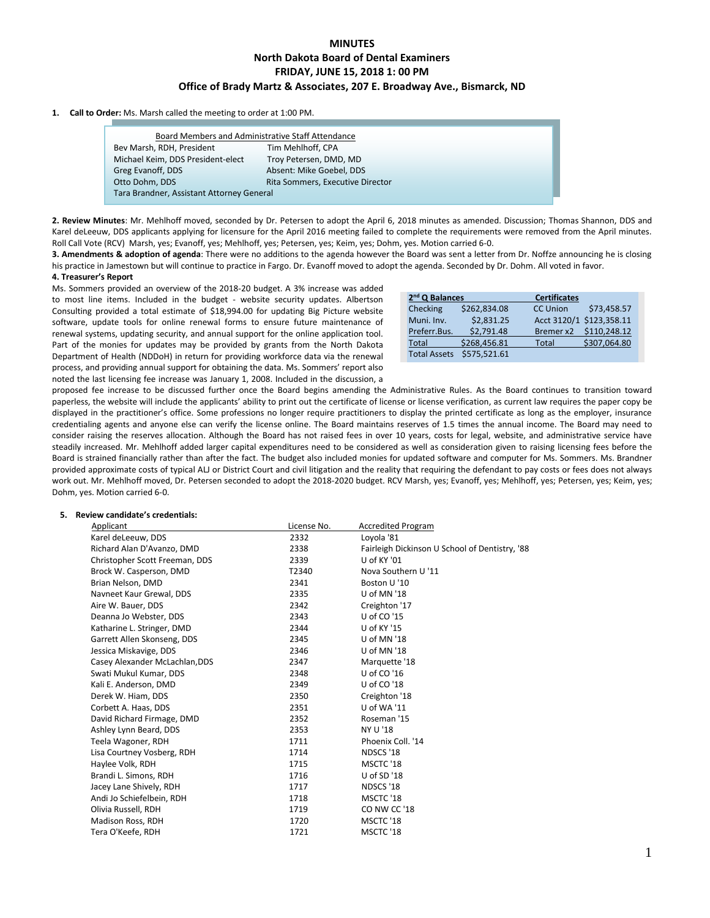# **MINUTES North Dakota Board of Dental Examiners FRIDAY, JUNE 15, 2018 1: 00 PM Office of Brady Martz & Associates, 207 E. Broadway Ave., Bismarck, ND**

#### **1. Call to Order:** Ms. Marsh called the meeting to order at 1:00 PM.

| Bev Marsh, RDH, President         | Tim Mehlhoff, CPA                |  |
|-----------------------------------|----------------------------------|--|
| Michael Keim, DDS President-elect | Troy Petersen, DMD, MD           |  |
| Greg Evanoff, DDS                 | Absent: Mike Goebel, DDS         |  |
| Otto Dohm, DDS                    | Rita Sommers, Executive Director |  |

**2. Review Minutes**: Mr. Mehlhoff moved, seconded by Dr. Petersen to adopt the April 6, 2018 minutes as amended. Discussion; Thomas Shannon, DDS and Karel deLeeuw, DDS applicants applying for licensure for the April 2016 meeting failed to complete the requirements were removed from the April minutes. Roll Call Vote (RCV) Marsh, yes; Evanoff, yes; Mehlhoff, yes; Petersen, yes; Keim, yes; Dohm, yes. Motion carried 6-0.

**3. Amendments & adoption of agenda**: There were no additions to the agenda however the Board was sent a letter from Dr. Noffze announcing he is closing his practice in Jamestown but will continue to practice in Fargo. Dr. Evanoff moved to adopt the agenda. Seconded by Dr. Dohm. All voted in favor.

# **4. Treasurer's Report**

Ms. Sommers provided an overview of the 2018-20 budget. A 3% increase was added to most line items. Included in the budget - website security updates. Albertson Consulting provided a total estimate of \$18,994.00 for updating Big Picture website software, update tools for online renewal forms to ensure future maintenance of renewal systems, updating security, and annual support for the online application tool. Part of the monies for updates may be provided by grants from the North Dakota Department of Health (NDDoH) in return for providing workforce data via the renewal process, and providing annual support for obtaining the data. Ms. Sommers' report also noted the last licensing fee increase was January 1, 2008. Included in the discussion, a

| $2nd$ Q Balances    |              | <b>Certificates</b> |                          |
|---------------------|--------------|---------------------|--------------------------|
| Checking            | \$262.834.08 | <b>CC Union</b>     | \$73.458.57              |
| Muni. Inv.          | \$2.831.25   |                     | Acct 3120/1 \$123,358.11 |
| Preferr.Bus.        | \$2.791.48   | Bremer x2           | \$110.248.12             |
| Total               | \$268,456.81 | Total               | \$307,064.80             |
| <b>Total Assets</b> | \$575,521.61 |                     |                          |

proposed fee increase to be discussed further once the Board begins amending the Administrative Rules. As the Board continues to transition toward paperless, the website will include the applicants' ability to print out the certificate of license or license verification, as current law requires the paper copy be displayed in the practitioner's office. Some professions no longer require practitioners to display the printed certificate as long as the employer, insurance credentialing agents and anyone else can verify the license online. The Board maintains reserves of 1.5 times the annual income. The Board may need to consider raising the reserves allocation. Although the Board has not raised fees in over 10 years, costs for legal, website, and administrative service have steadily increased. Mr. Mehlhoff added larger capital expenditures need to be considered as well as consideration given to raising licensing fees before the Board is strained financially rather than after the fact. The budget also included monies for updated software and computer for Ms. Sommers. Ms. Brandner provided approximate costs of typical ALJ or District Court and civil litigation and the reality that requiring the defendant to pay costs or fees does not always work out. Mr. Mehlhoff moved, Dr. Petersen seconded to adopt the 2018-2020 budget. RCV Marsh, yes; Evanoff, yes; Mehlhoff, yes; Petersen, yes; Keim, yes; Dohm, yes. Motion carried 6-0.

## **5. Review candidate's credentials:**

| Applicant                      | License No. | <b>Accredited Program</b>                      |
|--------------------------------|-------------|------------------------------------------------|
| Karel deLeeuw, DDS             | 2332        | Loyola '81                                     |
| Richard Alan D'Avanzo, DMD     | 2338        | Fairleigh Dickinson U School of Dentistry, '88 |
| Christopher Scott Freeman, DDS | 2339        | U of KY '01                                    |
| Brock W. Casperson, DMD        | T2340       | Nova Southern U '11                            |
| Brian Nelson, DMD              | 2341        | Boston U'10                                    |
| Navneet Kaur Grewal, DDS       | 2335        | U of MN '18                                    |
| Aire W. Bauer, DDS             | 2342        | Creighton '17                                  |
| Deanna Jo Webster, DDS         | 2343        | U of CO '15                                    |
| Katharine L. Stringer, DMD     | 2344        | U of KY '15                                    |
| Garrett Allen Skonseng, DDS    | 2345        | U of MN '18                                    |
| Jessica Miskavige, DDS         | 2346        | U of MN '18                                    |
| Casey Alexander McLachlan, DDS | 2347        | Marquette '18                                  |
| Swati Mukul Kumar, DDS         | 2348        | U of CO '16                                    |
| Kali E. Anderson, DMD          | 2349        | U of CO '18                                    |
| Derek W. Hiam, DDS             | 2350        | Creighton '18                                  |
| Corbett A. Haas, DDS           | 2351        | U of WA '11                                    |
| David Richard Firmage, DMD     | 2352        | Roseman '15                                    |
| Ashley Lynn Beard, DDS         | 2353        | NY U '18                                       |
| Teela Wagoner, RDH             | 1711        | Phoenix Coll. '14                              |
| Lisa Courtney Vosberg, RDH     | 1714        | NDSCS '18                                      |
| Haylee Volk, RDH               | 1715        | MSCTC '18                                      |
| Brandi L. Simons, RDH          | 1716        | U of SD '18                                    |
| Jacey Lane Shively, RDH        | 1717        | NDSCS '18                                      |
| Andi Jo Schiefelbein, RDH      | 1718        | MSCTC '18                                      |
| Olivia Russell, RDH            | 1719        | CO NW CC '18                                   |
| Madison Ross, RDH              | 1720        | MSCTC '18                                      |
| Tera O'Keefe, RDH              | 1721        | MSCTC '18                                      |
|                                |             |                                                |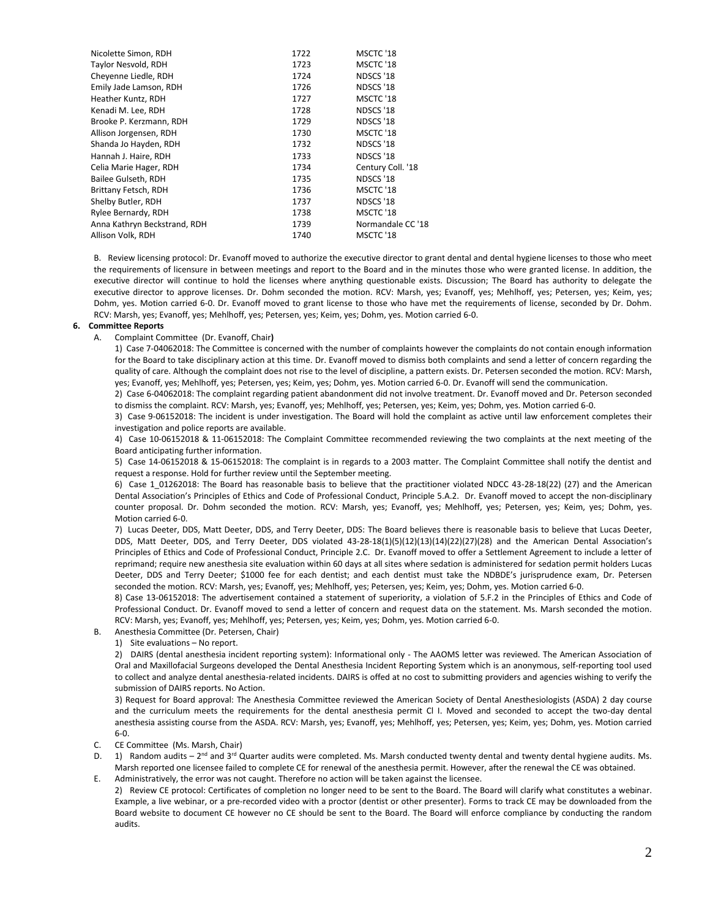| Nicolette Simon, RDH         | 1722 | MSCTC '18         |
|------------------------------|------|-------------------|
| Taylor Nesvold, RDH          | 1723 | MSCTC '18         |
| Cheyenne Liedle, RDH         | 1724 | NDSCS '18         |
| Emily Jade Lamson, RDH       | 1726 | NDSCS '18         |
| Heather Kuntz, RDH           | 1727 | MSCTC '18         |
| Kenadi M. Lee, RDH           | 1728 | NDSCS '18         |
| Brooke P. Kerzmann, RDH      | 1729 | NDSCS '18         |
| Allison Jorgensen, RDH       | 1730 | MSCTC '18         |
| Shanda Jo Hayden, RDH        | 1732 | NDSCS '18         |
| Hannah J. Haire, RDH         | 1733 | NDSCS '18         |
| Celia Marie Hager, RDH       | 1734 | Century Coll. '18 |
| Bailee Gulseth, RDH          | 1735 | NDSCS '18         |
| Brittany Fetsch, RDH         | 1736 | MSCTC '18         |
| Shelby Butler, RDH           | 1737 | NDSCS '18         |
| Rylee Bernardy, RDH          | 1738 | MSCTC '18         |
| Anna Kathryn Beckstrand, RDH | 1739 | Normandale CC '18 |
| Allison Volk, RDH            | 1740 | MSCTC '18         |
|                              |      |                   |

B. Review licensing protocol: Dr. Evanoff moved to authorize the executive director to grant dental and dental hygiene licenses to those who meet the requirements of licensure in between meetings and report to the Board and in the minutes those who were granted license. In addition, the executive director will continue to hold the licenses where anything questionable exists. Discussion; The Board has authority to delegate the executive director to approve licenses. Dr. Dohm seconded the motion. RCV: Marsh, yes; Evanoff, yes; Mehlhoff, yes; Petersen, yes; Keim, yes; Dohm, yes. Motion carried 6-0. Dr. Evanoff moved to grant license to those who have met the requirements of license, seconded by Dr. Dohm. RCV: Marsh, yes; Evanoff, yes; Mehlhoff, yes; Petersen, yes; Keim, yes; Dohm, yes. Motion carried 6-0.

#### **6. Committee Reports**

A. Complaint Committee (Dr. Evanoff, Chair**)** 

1) Case 7-04062018: The Committee is concerned with the number of complaints however the complaints do not contain enough information for the Board to take disciplinary action at this time. Dr. Evanoff moved to dismiss both complaints and send a letter of concern regarding the quality of care. Although the complaint does not rise to the level of discipline, a pattern exists. Dr. Petersen seconded the motion. RCV: Marsh, yes; Evanoff, yes; Mehlhoff, yes; Petersen, yes; Keim, yes; Dohm, yes. Motion carried 6-0. Dr. Evanoff will send the communication.

2) Case 6-04062018: The complaint regarding patient abandonment did not involve treatment. Dr. Evanoff moved and Dr. Peterson seconded to dismiss the complaint. RCV: Marsh, yes; Evanoff, yes; Mehlhoff, yes; Petersen, yes; Keim, yes; Dohm, yes. Motion carried 6-0.

3) Case 9-06152018: The incident is under investigation. The Board will hold the complaint as active until law enforcement completes their investigation and police reports are available.

4) Case 10-06152018 & 11-06152018: The Complaint Committee recommended reviewing the two complaints at the next meeting of the Board anticipating further information.

5) Case 14-06152018 & 15-06152018: The complaint is in regards to a 2003 matter. The Complaint Committee shall notify the dentist and request a response. Hold for further review until the September meeting.

6) Case 1\_01262018: The Board has reasonable basis to believe that the practitioner violated NDCC 43-28-18(22) (27) and the American Dental Association's Principles of Ethics and Code of Professional Conduct, Principle 5.A.2. Dr. Evanoff moved to accept the non-disciplinary counter proposal. Dr. Dohm seconded the motion. RCV: Marsh, yes; Evanoff, yes; Mehlhoff, yes; Petersen, yes; Keim, yes; Dohm, yes. Motion carried 6-0.

7) Lucas Deeter, DDS, Matt Deeter, DDS, and Terry Deeter, DDS: The Board believes there is reasonable basis to believe that Lucas Deeter, DDS, Matt Deeter, DDS, and Terry Deeter, DDS violated 43-28-18(1)(5)(12)(13)(14)(22)(27)(28) and the American Dental Association's Principles of Ethics and Code of Professional Conduct, Principle 2.C. Dr. Evanoff moved to offer a Settlement Agreement to include a letter of reprimand; require new anesthesia site evaluation within 60 days at all sites where sedation is administered for sedation permit holders Lucas Deeter, DDS and Terry Deeter; \$1000 fee for each dentist; and each dentist must take the NDBDE's jurisprudence exam, Dr. Petersen seconded the motion. RCV: Marsh, yes; Evanoff, yes; Mehlhoff, yes; Petersen, yes; Keim, yes; Dohm, yes. Motion carried 6-0.

8) Case 13-06152018: The advertisement contained a statement of superiority, a violation of 5.F.2 in the Principles of Ethics and Code of Professional Conduct. Dr. Evanoff moved to send a letter of concern and request data on the statement. Ms. Marsh seconded the motion. RCV: Marsh, yes; Evanoff, yes; Mehlhoff, yes; Petersen, yes; Keim, yes; Dohm, yes. Motion carried 6-0.

- B. Anesthesia Committee (Dr. Petersen, Chair)
	- 1) Site evaluations No report.

2) DAIRS (dental anesthesia incident reporting system): Informational only - The AAOMS letter was reviewed. The American Association of Oral and Maxillofacial Surgeons developed the Dental Anesthesia Incident Reporting System which is an anonymous, self-reporting tool used to collect and analyze dental anesthesia-related incidents. DAIRS is offed at no cost to submitting providers and agencies wishing to verify the submission of DAIRS reports. No Action.

3) Request for Board approval: The Anesthesia Committee reviewed the American Society of Dental Anesthesiologists (ASDA) 2 day course and the curriculum meets the requirements for the dental anesthesia permit Cl I. Moved and seconded to accept the two-day dental anesthesia assisting course from the ASDA. RCV: Marsh, yes; Evanoff, yes; Mehlhoff, yes; Petersen, yes; Neim, yes; Dohm, yes. Motion carried 6-0.

- C. CE Committee (Ms. Marsh, Chair)
- D. 1) Random audits 2<sup>nd</sup> and 3<sup>rd</sup> Quarter audits were completed. Ms. Marsh conducted twenty dental and twenty dental hygiene audits. Ms. Marsh reported one licensee failed to complete CE for renewal of the anesthesia permit. However, after the renewal the CE was obtained.
- E. Administratively, the error was not caught. Therefore no action will be taken against the licensee. 2) Review CE protocol: Certificates of completion no longer need to be sent to the Board. The Board will clarify what constitutes a webinar.
- Example, a live webinar, or a pre-recorded video with a proctor (dentist or other presenter). Forms to track CE may be downloaded from the Board website to document CE however no CE should be sent to the Board. The Board will enforce compliance by conducting the random audits.